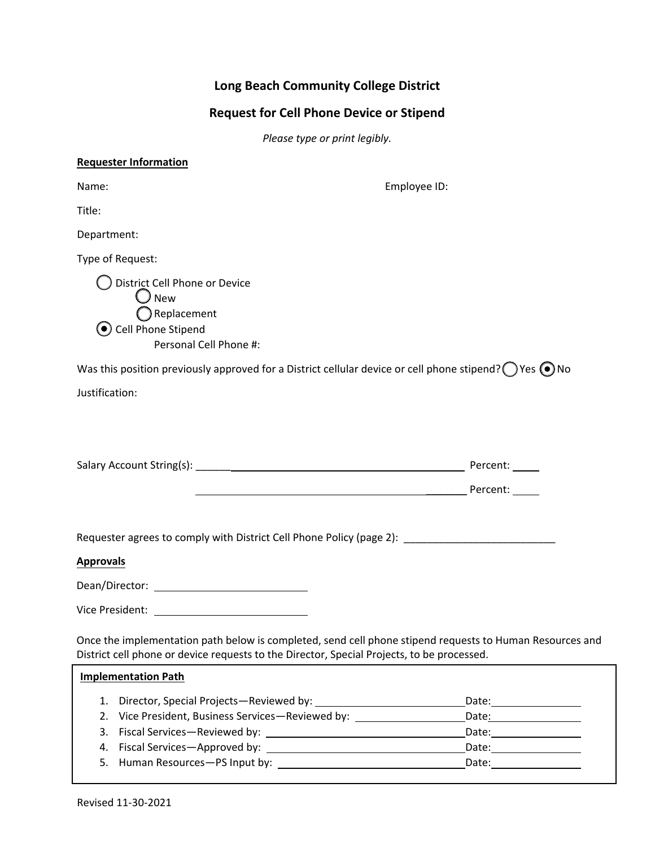# **Long Beach Community College District**

# **Request for Cell Phone Device or Stipend**

*Please type or print legibly.*

| <b>Requester Information</b>                                                                                                                                                                           |              |
|--------------------------------------------------------------------------------------------------------------------------------------------------------------------------------------------------------|--------------|
| Name:                                                                                                                                                                                                  | Employee ID: |
| Title:                                                                                                                                                                                                 |              |
| Department:                                                                                                                                                                                            |              |
| Type of Request:                                                                                                                                                                                       |              |
| District Cell Phone or Device<br>$\bigcup$ New<br>$\bigcap$ Replacement<br>C Cell Phone Stipend<br>Personal Cell Phone #:                                                                              |              |
| Was this position previously approved for a District cellular device or cell phone stipend? ( $\bigcirc$ Yes $\bigcirc$ No                                                                             |              |
| Justification:                                                                                                                                                                                         |              |
|                                                                                                                                                                                                        |              |
| Requester agrees to comply with District Cell Phone Policy (page 2): _______________________________                                                                                                   |              |
| <b>Approvals</b>                                                                                                                                                                                       |              |
| Dean/Director: example and a set of the set of the set of the set of the set of the set of the set of the set o                                                                                        |              |
|                                                                                                                                                                                                        |              |
| Once the implementation path below is completed, send cell phone stipend requests to Human Resources and<br>District cell phone or device requests to the Director, Special Projects, to be processed. |              |
| <b>Implementation Path</b>                                                                                                                                                                             |              |
|                                                                                                                                                                                                        |              |

|                                                   | Date: |
|---------------------------------------------------|-------|
| 2. Vice President, Business Services-Reviewed by: | Date: |
|                                                   | Date: |
| 4. Fiscal Services—Approved by:                   | Date: |
|                                                   | Date: |
|                                                   |       |